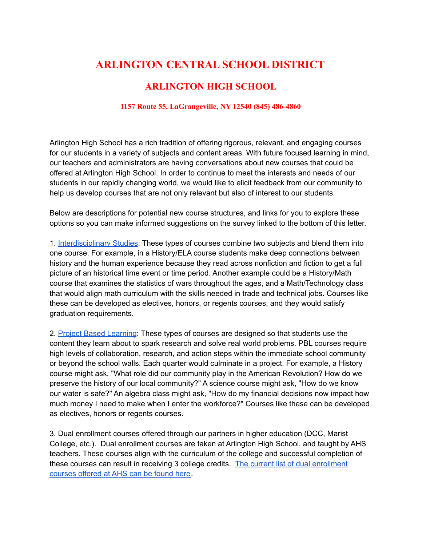## **ARLINGTON CENTRAL SCHOOL DISTRICT**

## **ARLINGTON HIGH SCHOOL**

## **1157 Route 55, LaGrangeville, NY 12540 (845) 486-4860**

Arlington High School has a rich tradition of offering rigorous, relevant, and engaging courses for our students in a variety of subjects and content areas. With future focused learning in mind, our teachers and administrators are having conversations about new courses that could be offered at Arlington High School. In order to continue to meet the interests and needs of our students in our rapidly changing world, we would like to elicit feedback from our community to help us develop courses that are not only relevant but also of interest to our students.

Below are descriptions for potential new course structures, and links for you to explore these options so you can make informed suggestions on the survey linked to the bottom of this letter.

1. [Interdisciplinary](https://www.edutopia.org/integrated-studies-introduction#:~:text=Integrated%20studies%2C%20sometimes%20called%20interdisciplinary,and%20influences%20within%20a%20topic.) Studies: These types of courses combine two subjects and blend them into one course. For example, in a History/ELA course students make deep connections between history and the human experience because they read across nonfiction and fiction to get a full picture of an historical time event or time period. Another example could be a History/Math course that examines the statistics of wars throughout the ages, and a Math/Technology class that would align math curriculum with the skills needed in trade and technical jobs. Courses like these can be developed as electives, honors, or regents courses, and they would satisfy graduation requirements.

2. Project Based [Learning](https://www.pblworks.org/what-is-pbl#:~:text=Project%20Based%20Learning%20is%20a,question%2C%20problem%2C%20or%20challenge.): These types of courses are designed so that students use the content they learn about to spark research and solve real world problems. PBL courses require high levels of collaboration, research, and action steps within the immediate school community or beyond the school walls. Each quarter would culminate in a project. For example, a History course might ask, "What role did our community play in the American Revolution? How do we preserve the history of our local community?" A science course might ask, "How do we know our water is safe?" An algebra class might ask, "How do my financial decisions now impact how much money I need to make when I enter the workforce?" Courses like these can be developed as electives, honors or regents courses.

3. Dual enrollment courses offered through our partners in higher education (DCC, Marist College, etc.). Dual enrollment courses are taken at Arlington High School, and taught by AHS teachers. These courses align with the curriculum of the college and successful completion of these courses can result in receiving 3 college credits. The current list of dual [enrollment](https://docs.google.com/document/d/1f2e-zKF25A7u8HRoqxJWFOZ3hLUZFp4ZIi5ba8frzp0/edit) [courses](https://docs.google.com/document/d/1f2e-zKF25A7u8HRoqxJWFOZ3hLUZFp4ZIi5ba8frzp0/edit) offered at AHS can be found here.